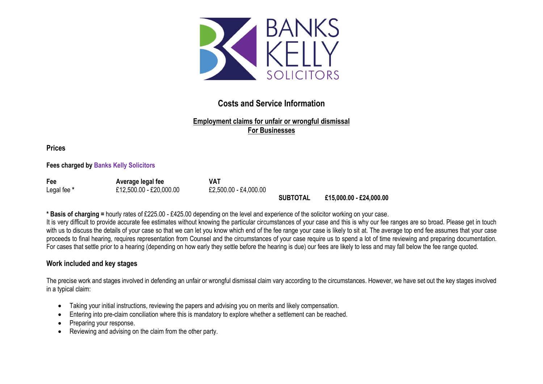

# **Costs and Service Information**

# **Employment claims for unfair or wrongful dismissal For Businesses**

**Prices**

**Fees charged by Banks Kelly Solicitors**

| Fee         | Average legal fee       | VAT                   |                 |                         |
|-------------|-------------------------|-----------------------|-----------------|-------------------------|
| Legal fee * | £12,500.00 - £20,000.00 | £2,500.00 - £4,000.00 |                 |                         |
|             |                         |                       | <b>SUBTOTAL</b> | £15.000.00 - £24.000.00 |

**\* Basis of charging =** hourly rates of £225.00 - £425.00 depending on the level and experience of the solicitor working on your case.

It is very difficult to provide accurate fee estimates without knowing the particular circumstances of your case and this is why our fee ranges are so broad. Please get in touch with us to discuss the details of your case so that we can let you know which end of the fee range your case is likely to sit at. The average top end fee assumes that your case proceeds to final hearing, requires representation from Counsel and the circumstances of your case require us to spend a lot of time reviewing and preparing documentation. For cases that settle prior to a hearing (depending on how early they settle before the hearing is due) our fees are likely to less and may fall below the fee range quoted.

#### **Work included and key stages**

The precise work and stages involved in defending an unfair or wrongful dismissal claim vary according to the circumstances. However, we have set out the key stages involved in a typical claim:

- Taking your initial instructions, reviewing the papers and advising you on merits and likely compensation.
- Entering into pre-claim conciliation where this is mandatory to explore whether a settlement can be reached.
- Preparing your response.
- Reviewing and advising on the claim from the other party.